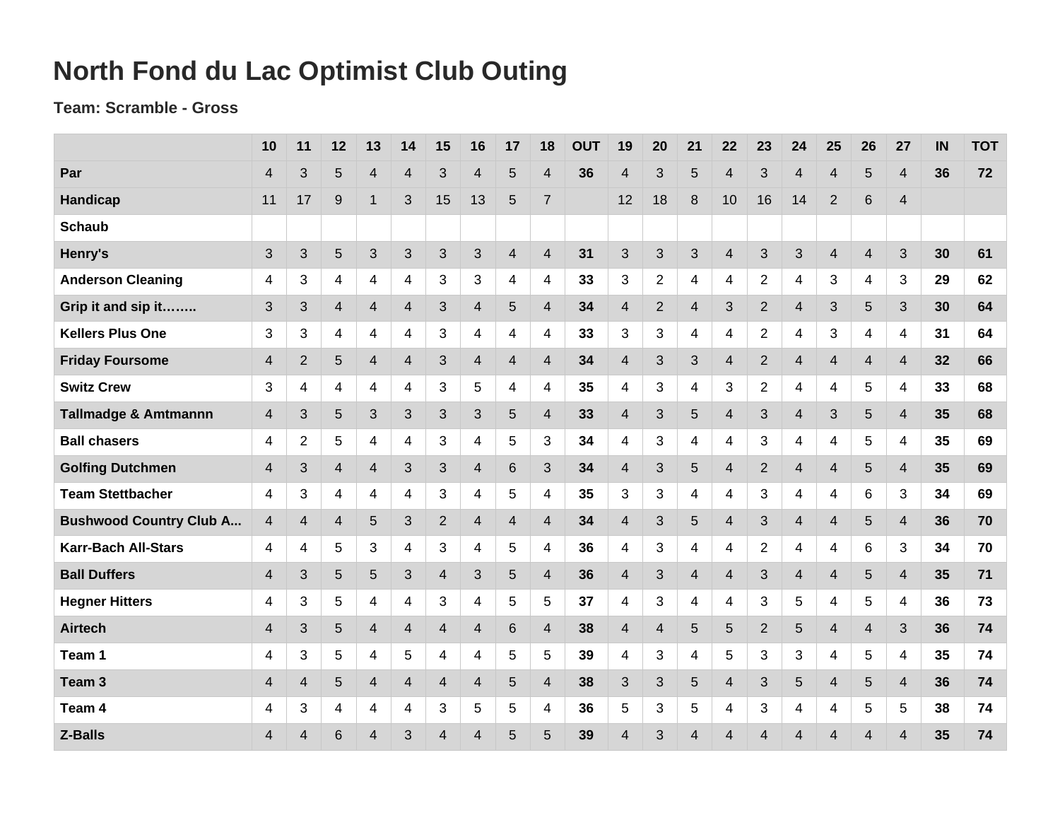## **North Fond du Lac Optimist Club Outing**

## **Team: Scramble - Gross**

|                                 | 10             | 11             | 12             | 13             | 14             | 15             | 16                      | 17             | 18                      | <b>OUT</b> | 19             | 20             | 21             | 22             | 23             | 24                       | 25             | 26                      | 27                       | IN | <b>TOT</b> |
|---------------------------------|----------------|----------------|----------------|----------------|----------------|----------------|-------------------------|----------------|-------------------------|------------|----------------|----------------|----------------|----------------|----------------|--------------------------|----------------|-------------------------|--------------------------|----|------------|
| Par                             | 4              | 3              | 5              | $\overline{4}$ | 4              | 3              | 4                       | 5              | 4                       | 36         | $\overline{4}$ | 3              | 5              | 4              | 3              | $\overline{4}$           | $\overline{4}$ | 5                       | 4                        | 36 | 72         |
| Handicap                        | 11             | 17             | 9              | $\overline{1}$ | 3              | 15             | 13                      | 5              | $\overline{7}$          |            | 12             | 18             | 8              | 10             | 16             | 14                       | $\overline{2}$ | 6                       | 4                        |    |            |
| <b>Schaub</b>                   |                |                |                |                |                |                |                         |                |                         |            |                |                |                |                |                |                          |                |                         |                          |    |            |
| Henry's                         | 3              | 3              | 5              | 3              | 3              | 3              | 3                       | $\overline{4}$ | $\overline{4}$          | 31         | 3              | 3              | 3              | $\overline{4}$ | 3              | 3                        | $\overline{4}$ | $\overline{4}$          | 3                        | 30 | 61         |
| <b>Anderson Cleaning</b>        | 4              | 3              | 4              | $\overline{4}$ | 4              | 3              | 3                       | 4              | 4                       | 33         | 3              | $\overline{2}$ | 4              | 4              | $\overline{2}$ | 4                        | 3              | 4                       | 3                        | 29 | 62         |
| Grip it and sip it              | 3              | 3              | $\overline{4}$ | $\overline{4}$ | $\overline{4}$ | 3              | $\overline{\mathbf{4}}$ | 5              | $\overline{4}$          | 34         | $\overline{4}$ | $\overline{2}$ | $\overline{4}$ | 3              | $\overline{2}$ | $\overline{4}$           | 3              | 5                       | 3                        | 30 | 64         |
| <b>Kellers Plus One</b>         | 3              | 3              | 4              | 4              | 4              | 3              | 4                       | 4              | 4                       | 33         | 3              | 3              | 4              | 4              | $\overline{2}$ | 4                        | 3              | 4                       | 4                        | 31 | 64         |
| <b>Friday Foursome</b>          | 4              | 2              | 5              | $\overline{4}$ | $\overline{4}$ | 3              | $\overline{4}$          | $\overline{4}$ | $\overline{4}$          | 34         | $\overline{4}$ | 3              | 3              | $\overline{4}$ | $\overline{2}$ | $\overline{4}$           | $\overline{4}$ | $\overline{4}$          | $\overline{4}$           | 32 | 66         |
| <b>Switz Crew</b>               | 3              | 4              | 4              | 4              | 4              | 3              | 5                       | 4              | 4                       | 35         | 4              | 3              | 4              | 3              | $\overline{2}$ | $\overline{4}$           | 4              | 5                       | 4                        | 33 | 68         |
| <b>Tallmadge &amp; Amtmannn</b> | 4              | 3              | 5              | 3              | 3              | 3              | 3                       | 5              | $\overline{4}$          | 33         | $\overline{4}$ | 3              | 5              | $\overline{4}$ | 3              | $\overline{4}$           | 3              | 5                       | $\overline{4}$           | 35 | 68         |
| <b>Ball chasers</b>             | 4              | $\overline{2}$ | 5              | 4              | 4              | 3              | 4                       | 5              | 3                       | 34         | 4              | 3              | 4              | 4              | 3              | 4                        | 4              | 5                       | 4                        | 35 | 69         |
| <b>Golfing Dutchmen</b>         | 4              | 3              | $\overline{4}$ | $\overline{4}$ | 3              | 3              | $\overline{4}$          | 6              | 3                       | 34         | $\overline{4}$ | 3              | 5              | $\overline{4}$ | $\overline{2}$ | $\overline{4}$           | $\overline{4}$ | 5                       | $\overline{4}$           | 35 | 69         |
| <b>Team Stettbacher</b>         | 4              | 3              | 4              | 4              | 4              | 3              | 4                       | 5              | 4                       | 35         | 3              | 3              | 4              | 4              | 3              | $\overline{4}$           | 4              | 6                       | 3                        | 34 | 69         |
| <b>Bushwood Country Club A</b>  | 4              | $\overline{4}$ | $\overline{4}$ | 5              | 3              | $\overline{2}$ | $\overline{4}$          | $\overline{4}$ | $\overline{4}$          | 34         | $\overline{4}$ | 3              | 5              | $\overline{4}$ | 3              | $\overline{4}$           | $\overline{4}$ | 5                       | $\overline{4}$           | 36 | 70         |
| <b>Karr-Bach All-Stars</b>      | 4              | 4              | $\overline{5}$ | 3              | 4              | 3              | 4                       | 5              | 4                       | 36         | 4              | 3              | 4              | 4              | $\overline{2}$ | $\overline{4}$           | 4              | 6                       | 3                        | 34 | 70         |
| <b>Ball Duffers</b>             | $\overline{4}$ | 3              | 5              | $5\phantom{.}$ | 3              | $\overline{4}$ | 3                       | 5              | $\overline{4}$          | 36         | $\overline{4}$ | 3              | $\overline{4}$ | $\overline{4}$ | 3              | $\overline{4}$           | 4              | 5                       | $\overline{4}$           | 35 | 71         |
| <b>Hegner Hitters</b>           | 4              | 3              | $\overline{5}$ | $\overline{4}$ | 4              | 3              | 4                       | 5              | 5                       | 37         | 4              | 3              | 4              | 4              | 3              | 5                        | 4              | 5                       | 4                        | 36 | 73         |
| <b>Airtech</b>                  | 4              | 3              | 5              | $\overline{4}$ | $\overline{4}$ | $\overline{4}$ | 4                       | 6              | 4                       | 38         | $\overline{4}$ | $\overline{4}$ | 5              | 5              | $\overline{2}$ | 5                        | 4              | $\overline{\mathbf{4}}$ | 3                        | 36 | 74         |
| Team 1                          | 4              | 3              | 5              | 4              | 5              | 4              | 4                       | 5              | 5                       | 39         | 4              | 3              | 4              | 5              | 3              | 3                        | 4              | 5                       | 4                        | 35 | 74         |
| Team <sub>3</sub>               | 4              | $\overline{4}$ | 5              | $\overline{4}$ | $\overline{4}$ | $\overline{4}$ | 4                       | 5              | $\overline{\mathbf{4}}$ | 38         | 3              | 3              | 5              | $\overline{4}$ | 3              | 5                        | $\overline{4}$ | 5                       | $\overline{4}$           | 36 | 74         |
| Team 4                          | 4              | 3              | 4              | 4              | 4              | 3              | 5                       | 5              | 4                       | 36         | 5              | $\sqrt{3}$     | 5              | 4              | 3              | 4                        | 4              | 5                       | 5                        | 38 | 74         |
| Z-Balls                         | 4              | 4              | 6              | 4              | 3              | $\overline{4}$ | 4                       | 5              | 5                       | 39         | 4              | 3              | $\overline{4}$ | $\overline{4}$ | $\overline{4}$ | $\overline{\mathcal{A}}$ | 4              | 4                       | $\overline{\mathcal{L}}$ | 35 | 74         |